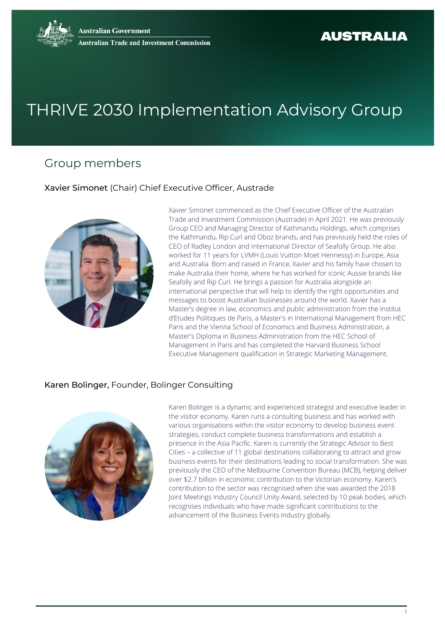# THRIVE 2030 Implementation Advisory Group

# Group members

Xavier Simonet (Chair) Chief Executive Officer, Austrade



Xavier Simonet commenced as the Chief Executive Officer of the Australian Trade and Investment Commission (Austrade) in April 2021. He was previously Group CEO and Managing Director of Kathmandu Holdings, which comprises the Kathmandu, Rip Curl and Oboz brands, and has previously held the roles of CEO of Radley London and International Director of Seafolly Group. He also worked for 11 years for LVMH (Louis Vuitton Moet Hennessy) in Europe, Asia and Australia. Born and raised in France, Xavier and his family have chosen to make Australia their home, where he has worked for iconic Aussie brands like Seafolly and Rip Curl. He brings a passion for Australia alongside an international perspective that will help to identify the right opportunities and messages to boost Australian businesses around the world. Xavier has a Master's degree in law, economics and public administration from the Institut d'Etudes Politiques de Paris, a Master's in International Management from HEC Paris and the Vienna School of Economics and Business Administration, a Master's Diploma in Business Administration from the HEC School of Management in Paris and has completed the Harvard Business School Executive Management qualification in Strategic Marketing Management.

#### Karen Bolinger, Founder, Bolinger Consulting



Karen Bolinger is a dynamic and experienced strategist and executive leader in the visitor economy. Karen runs a consulting business and has worked with various organisations within the visitor economy to develop business event strategies, conduct complete business transformations and establish a presence in the Asia Pacific. Karen is currently the Strategic Advisor to Best Cities – a collective of 11 global destinations collaborating to attract and grow business events for their destinations leading to social transformation. She was previously the CEO of the Melbourne Convention Bureau (MCB), helping deliver over \$2.7 billion in economic contribution to the Victorian economy. Karen's contribution to the sector was recognised when she was awarded the 2018 Joint Meetings Industry Council Unity Award, selected by 10 peak bodies, which recognises individuals who have made significant contributions to the advancement of the Business Events industry globally.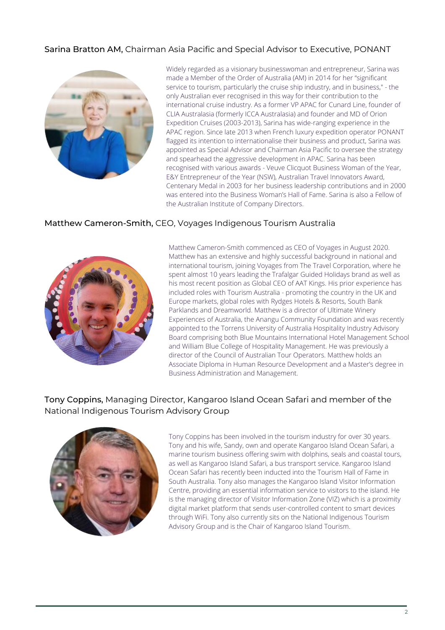# Sarina Bratton AM, Chairman Asia Pacific and Special Advisor to Executive, PONANT



Widely regarded as a visionary businesswoman and entrepreneur, Sarina was made a Member of the Order of Australia (AM) in 2014 for her "significant service to tourism, particularly the cruise ship industry, and in business," - the only Australian ever recognised in this way for their contribution to the international cruise industry. As a former VP APAC for Cunard Line, founder of CLIA Australasia (formerly ICCA Australasia) and founder and MD of Orion Expedition Cruises (2003-2013), Sarina has wide-ranging experience in the APAC region. Since late 2013 when French luxury expedition operator PONANT flagged its intention to internationalise their business and product, Sarina was appointed as Special Advisor and Chairman Asia Pacific to oversee the strategy and spearhead the aggressive development in APAC. Sarina has been recognised with various awards - Veuve Clicquot Business Woman of the Year, E&Y Entrepreneur of the Year (NSW), Australian Travel Innovators Award, Centenary Medal in 2003 for her business leadership contributions and in 2000 was entered into the Business Woman's Hall of Fame. Sarina is also a Fellow of the Australian Institute of Company Directors.

#### Matthew Cameron-Smith, CEO, Voyages Indigenous Tourism Australia



Matthew Cameron-Smith commenced as CEO of Voyages in August 2020. Matthew has an extensive and highly successful background in national and international tourism, joining Voyages from The Travel Corporation, where he spent almost 10 years leading the Trafalgar Guided Holidays brand as well as his most recent position as Global CEO of AAT Kings. His prior experience has included roles with Tourism Australia - promoting the country in the UK and Europe markets, global roles with Rydges Hotels & Resorts, South Bank Parklands and Dreamworld. Matthew is a director of Ultimate Winery Experiences of Australia, the Anangu Community Foundation and was recently appointed to the Torrens University of Australia Hospitality Industry Advisory Board comprising both Blue Mountains International Hotel Management School and William Blue College of Hospitality Management. He was previously a director of the Council of Australian Tour Operators. Matthew holds an Associate Diploma in Human Resource Development and a Master's degree in Business Administration and Management.

#### Tony Coppins, Managing Director, Kangaroo Island Ocean Safari and member of the National Indigenous Tourism Advisory Group



Tony Coppins has been involved in the tourism industry for over 30 years. Tony and his wife, Sandy, own and operate Kangaroo Island Ocean Safari, a marine tourism business offering swim with dolphins, seals and coastal tours, as well as Kangaroo Island Safari, a bus transport service. Kangaroo Island Ocean Safari has recently been inducted into the Tourism Hall of Fame in South Australia. Tony also manages the Kangaroo Island Visitor Information Centre, providing an essential information service to visitors to the island. He is the managing director of Visitor Information Zone (VIZ) which is a proximity digital market platform that sends user-controlled content to smart devices through WiFi. Tony also currently sits on the National Indigenous Tourism Advisory Group and is the Chair of Kangaroo Island Tourism.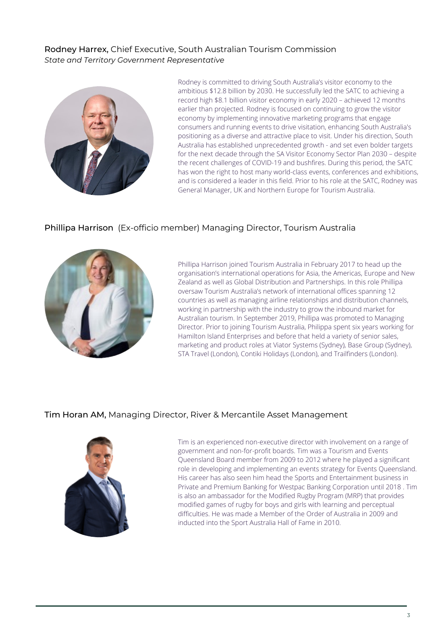#### Rodney Harrex, Chief Executive, South Australian Tourism Commission *State and Territory Government Representative*



Rodney is committed to driving South Australia's visitor economy to the ambitious \$12.8 billion by 2030. He successfully led the SATC to achieving a record high \$8.1 billion visitor economy in early 2020 – achieved 12 months earlier than projected. Rodney is focused on continuing to grow the visitor economy by implementing innovative marketing programs that engage consumers and running events to drive visitation, enhancing South Australia's positioning as a diverse and attractive place to visit. Under his direction, South Australia has established unprecedented growth - and set even bolder targets for the next decade through the SA Visitor Economy Sector Plan 2030 – despite the recent challenges of COVID-19 and bushfires. During this period, the SATC has won the right to host many world-class events, conferences and exhibitions, and is considered a leader in this field. Prior to his role at the SATC, Rodney was General Manager, UK and Northern Europe for Tourism Australia.

#### Phillipa Harrison (Ex-officio member) Managing Director, Tourism Australia



Phillipa Harrison joined Tourism Australia in February 2017 to head up the organisation's international operations for Asia, the Americas, Europe and New Zealand as well as Global Distribution and Partnerships. In this role Phillipa oversaw Tourism Australia's network of international offices spanning 12 countries as well as managing airline relationships and distribution channels, working in partnership with the industry to grow the inbound market for Australian tourism. In September 2019, Phillipa was promoted to Managing Director. Prior to joining Tourism Australia, Philippa spent six years working for Hamilton Island Enterprises and before that held a variety of senior sales, marketing and product roles at Viator Systems (Sydney), Base Group (Sydney), STA Travel (London), Contiki Holidays (London), and Trailfinders (London).

#### Tim Horan AM, Managing Director, River & Mercantile Asset Management



Tim is an experienced non-executive director with involvement on a range of government and non-for-profit boards. Tim was a Tourism and Events Queensland Board member from 2009 to 2012 where he played a significant role in developing and implementing an events strategy for Events Queensland. His career has also seen him head the Sports and Entertainment business in Private and Premium Banking for Westpac Banking Corporation until 2018 . Tim is also an ambassador for the Modified Rugby Program (MRP) that provides modified games of rugby for boys and girls with learning and perceptual difficulties. He was made a Member of the Order of Australia in 2009 and inducted into the Sport Australia Hall of Fame in 2010.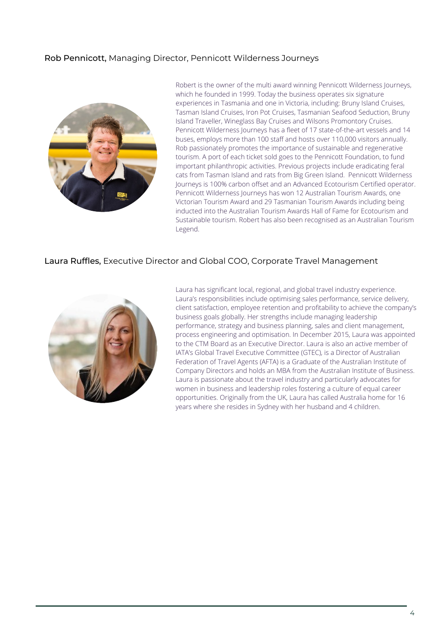# Rob Pennicott, Managing Director, Pennicott Wilderness Journeys



Robert is the owner of the multi award winning Pennicott Wilderness Journeys, which he founded in 1999. Today the business operates six signature experiences in Tasmania and one in Victoria, including: Bruny Island Cruises, Tasman Island Cruises, Iron Pot Cruises, Tasmanian Seafood Seduction, Bruny Island Traveller, Wineglass Bay Cruises and Wilsons Promontory Cruises. Pennicott Wilderness Journeys has a fleet of 17 state-of-the-art vessels and 14 buses, employs more than 100 staff and hosts over 110,000 visitors annually. Rob passionately promotes the importance of sustainable and regenerative tourism. A port of each ticket sold goes to the Pennicott Foundation, to fund important philanthropic activities. Previous projects include eradicating feral cats from Tasman Island and rats from Big Green Island. Pennicott Wilderness Journeys is 100% carbon offset and an Advanced Ecotourism Certified operator. Pennicott Wilderness Journeys has won 12 Australian Tourism Awards, one Victorian Tourism Award and 29 Tasmanian Tourism Awards including being inducted into the Australian Tourism Awards Hall of Fame for Ecotourism and Sustainable tourism. Robert has also been recognised as an Australian Tourism Legend.

#### Laura Ruffles, Executive Director and Global COO, Corporate Travel Management



Laura has significant local, regional, and global travel industry experience. Laura's responsibilities include optimising sales performance, service delivery, client satisfaction, employee retention and profitability to achieve the company's business goals globally. Her strengths include managing leadership performance, strategy and business planning, sales and client management, process engineering and optimisation. In December 2015, Laura was appointed to the CTM Board as an Executive Director. Laura is also an active member of IATA's Global Travel Executive Committee (GTEC), is a Director of Australian Federation of Travel Agents (AFTA) is a Graduate of the Australian Institute of Company Directors and holds an MBA from the Australian Institute of Business. Laura is passionate about the travel industry and particularly advocates for women in business and leadership roles fostering a culture of equal career opportunities. Originally from the UK, Laura has called Australia home for 16 years where she resides in Sydney with her husband and 4 children.